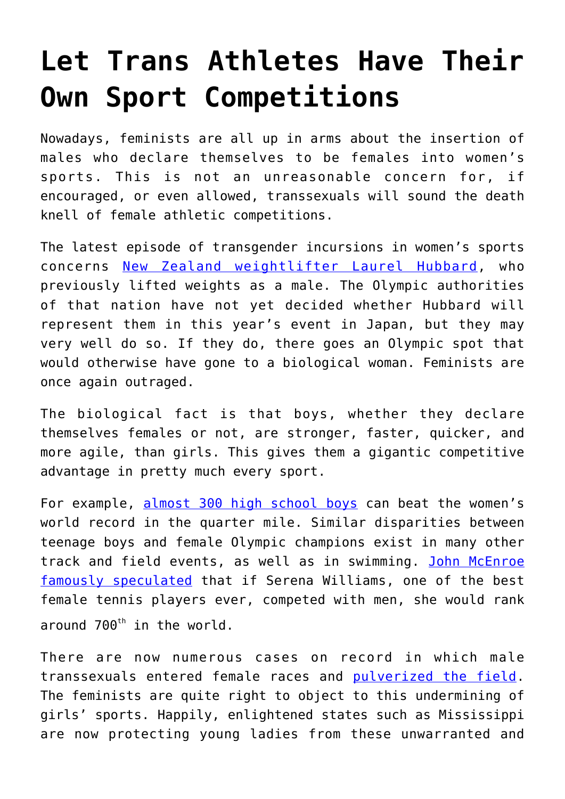## **[Let Trans Athletes Have Their](https://intellectualtakeout.org/2021/06/let-trans-athletes-have-their-own-sport-competitions/) [Own Sport Competitions](https://intellectualtakeout.org/2021/06/let-trans-athletes-have-their-own-sport-competitions/)**

Nowadays, feminists are all up in arms about the insertion of males who declare themselves to be females into women's sports. This is not an unreasonable concern for, if encouraged, or even allowed, transsexuals will sound the death knell of female athletic competitions.

The latest episode of transgender incursions in women's sports concerns [New Zealand weightlifter Laurel Hubbard,](https://www.dailymail.co.uk/sport/olympics/article-9557545/Sharron-Davies-hits-decision-allow-transgender-weightlifter-Hubbard-compete-Olympics.html) who previously lifted weights as a male. The Olympic authorities of that nation have not yet decided whether Hubbard will represent them in this year's event in Japan, but they may very well do so. If they do, there goes an Olympic spot that would otherwise have gone to a biological woman. Feminists are once again outraged.

The biological fact is that boys, whether they declare themselves females or not, are stronger, faster, quicker, and more agile, than girls. This gives them a gigantic competitive advantage in pretty much every sport.

For example, [almost 300 high school boys](https://www.wsj.com/articles/joe-bidens-first-day-began-the-end-of-girls-sports-11611341066?reflink=desktopwebshare_twitter) can beat the women's world record in the quarter mile. Similar disparities between teenage boys and female Olympic champions exist in many other track and field events, as well as in swimming. [John McEnroe](https://www.cbssports.com/tennis/news/the-john-mcenroe-serena-williams-controversy-goes-far-past-who-would-win/) [famously speculated](https://www.cbssports.com/tennis/news/the-john-mcenroe-serena-williams-controversy-goes-far-past-who-would-win/) that if Serena Williams, one of the best female tennis players ever, competed with men, she would rank around  $700^{th}$  in the world.

There are now numerous cases on record in which male transsexuals entered female races and [pulverized the field.](https://abcnews.go.com/US/transgender-teens-outrun-track-field-competitors-critics-close/story?id=55856294) The feminists are quite right to object to this undermining of girls' sports. Happily, enlightened states such as Mississippi are now protecting young ladies from these unwarranted and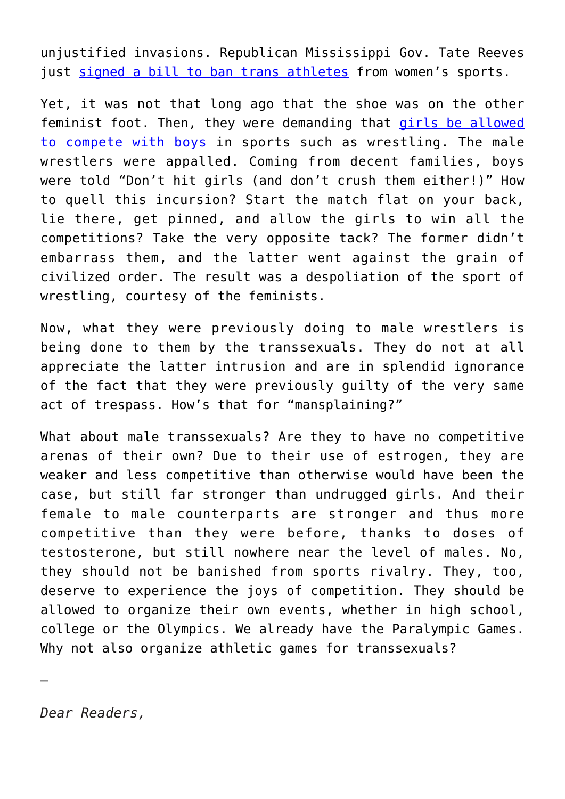unjustified invasions. Republican Mississippi Gov. Tate Reeves just [signed a bill to ban trans athletes](https://www.westernjournal.com/governor-signs-bill-blocking-transgender-competitors-girls-sports/?utm_source=Email&utm_medium=aa-newsletter&utm_campaign=can&utm_content=firefly) from women's sports.

Yet, it was not that long ago that the shoe was on the other feminist foot. Then, they were demanding that [girls be allowed](https://vmsseaglescall.org/1882/opinion/girls-should-be-accepted-on-boys-sports-teams/) [to compete with boys](https://vmsseaglescall.org/1882/opinion/girls-should-be-accepted-on-boys-sports-teams/) in sports such as wrestling. The male wrestlers were appalled. Coming from decent families, boys were told "Don't hit girls (and don't crush them either!)" How to quell this incursion? Start the match flat on your back, lie there, get pinned, and allow the girls to win all the competitions? Take the very opposite tack? The former didn't embarrass them, and the latter went against the grain of civilized order. The result was a despoliation of the sport of wrestling, courtesy of the feminists.

Now, what they were previously doing to male wrestlers is being done to them by the transsexuals. They do not at all appreciate the latter intrusion and are in splendid ignorance of the fact that they were previously guilty of the very same act of trespass. How's that for "mansplaining?"

What about male transsexuals? Are they to have no competitive arenas of their own? Due to their use of estrogen, they are weaker and less competitive than otherwise would have been the case, but still far stronger than undrugged girls. And their female to male counterparts are stronger and thus more competitive than they were before, thanks to doses of testosterone, but still nowhere near the level of males. No, they should not be banished from sports rivalry. They, too, deserve to experience the joys of competition. They should be allowed to organize their own events, whether in high school, college or the Olympics. We already have the Paralympic Games. Why not also organize athletic games for transsexuals?

*Dear Readers,*

—